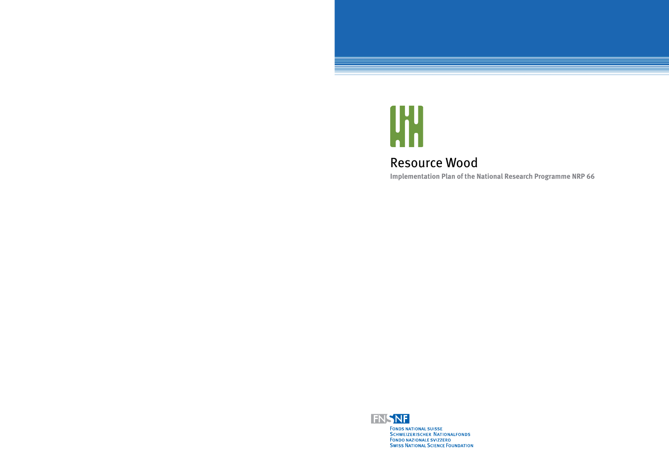

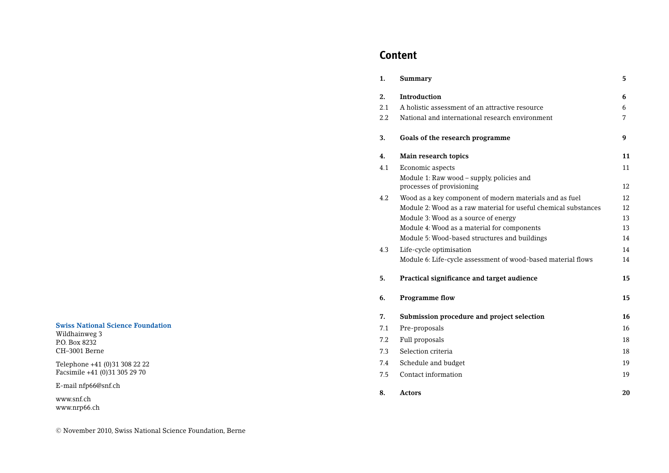#### **Swiss National Science Foundation**

Wildhainweg 3 P.O. Box 8232 CH–3001 Berne

Telephone +41 (0)31 308 22 22 Facsimile +41 (0)31 305 29 70

E-mail nfp66@snf.ch

www.snf.ch www.nrp66.ch

# **Content**

| 1.  | Summary                                                                | 5  |
|-----|------------------------------------------------------------------------|----|
| 2.  | <b>Introduction</b>                                                    | 6  |
| 2.1 | A holistic assessment of an attractive resource                        | 6  |
| 2.2 | National and international research environment                        | 7  |
| 3.  | Goals of the research programme                                        | 9  |
| 4.  | Main research topics                                                   | 11 |
| 4.1 | Economic aspects                                                       | 11 |
|     | Module 1: Raw wood - supply, policies and<br>processes of provisioning | 12 |
| 4.2 | Wood as a key component of modern materials and as fuel                | 12 |
|     | Module 2: Wood as a raw material for useful chemical substances        | 12 |
|     | Module 3: Wood as a source of energy                                   | 13 |
|     | Module 4: Wood as a material for components                            | 13 |
|     | Module 5: Wood-based structures and buildings                          | 14 |
| 4.3 | Life-cycle optimisation                                                | 14 |
|     | Module 6: Life-cycle assessment of wood-based material flows           | 14 |
| 5.  | Practical significance and target audience                             | 15 |
| 6.  | <b>Programme flow</b>                                                  | 15 |
| 7.  | Submission procedure and project selection                             | 16 |
| 7.1 | Pre-proposals                                                          | 16 |
| 7.2 | Full proposals                                                         | 18 |
| 7.3 | Selection criteria                                                     | 18 |
| 7.4 | Schedule and budget                                                    | 19 |
| 7.5 | Contact information                                                    | 19 |
| 8.  | Actors                                                                 | 20 |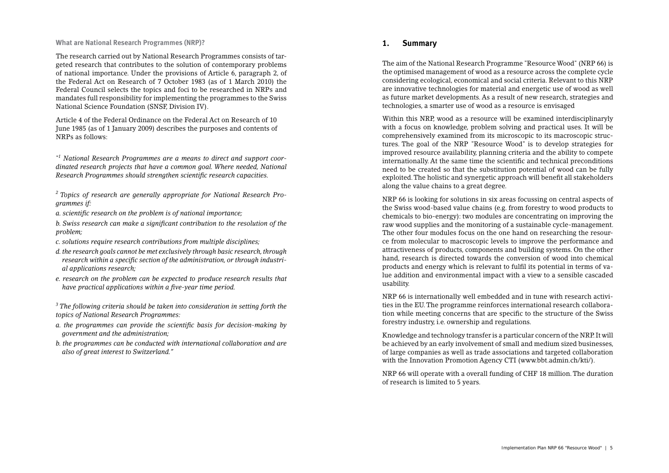**What are National Research Programmes (NRP)?**

The research carried out by National Research Programmes consists of targeted research that contributes to the solution of contemporary problems of national importance. Under the provisions of Article 6, paragraph 2, of the Federal Act on Research of 7 October 1983 (as of 1 March 2010) the Federal Council selects the topics and foci to be researched in NRPs and mandates full responsibility for implementing the programmes to the Swiss National Science Foundation (SNSF, Division IV).

Article 4 of the Federal Ordinance on the Federal Act on Research of 10 June 1985 (as of 1 January 2009) describes the purposes and contents of NRPs as follows:

<sup>"1</sup> National Research Programmes are a means to direct and support coor*dinated research projects that have a common goal. Where needed, National Research Programmes should strengthen scientific research capacities.* 

*2 Topics of research are generally appropriate for National Research Programmes if:*

*a. scientific research on the problem is of national importance;* 

*b. Swiss research can make a signifi cant contribution to the resolution of the problem;*

- *c. solutions require research contributions from multiple disciplines;*
- *d. the research goals cannot be met exclusively through basic research, through*  research within a specific section of the administration, or through industri*al applications research;*
- *e. research on the problem can be expected to produce research results that have practical applications within a fi ve-year time period.*

*3 The following criteria should be taken into consideration in setting forth the topics of National Research Programmes:* 

- *a. the programmes can provide the scientific basis for decision-making by government and the administration;*
- *b. the programmes can be conducted with international collaboration and are also of great interest to Switzerland."*

# **1. Summary**

The aim of the National Research Programme "Resource Wood" (NRP 66) is the optimised management of wood as a resource across the complete cycle considering ecological, economical and social criteria. Relevant to this NRP are innovative technologies for material and energetic use of wood as well as future market developments. As a result of new research, strategies and technologies, a smarter use of wood as a resource is envisaged

Within this NRP, wood as a resource will be examined interdisciplinaryly with a focus on knowledge, problem solving and practical uses. It will be comprehensively examined from its microscopic to its macroscopic structures. The goal of the NRP "Resource Wood" is to develop strategies for improved resource availability, planning criteria and the ability to compete internationally. At the same time the scienti fi c and technical preconditions need to be created so that the substitution potential of wood can be fully exploited. The holistic and synergetic approach will bene fi t all stakeholders along the value chains to a great degree.

NRP 66 is looking for solutions in six areas focussing on central aspects of the Swiss wood-based value chains (e.g. from forestry to wood products to chemicals to bio-energy): two modules are concentrating on improving the raw wood supplies and the monitoring of a sustainable cycle-management. The other four modules focus on the one hand on researching the resource from molecular to macroscopic levels to improve the performance and attractiveness of products, components and building systems. On the other hand, research is directed towards the conversion of wood into chemical products and energy which is relevant to fulfil its potential in terms of value addition and environmental impact with a view to a sensible cascaded usability.

NRP 66 is internationally well embedded and in tune with research activities in the EU. The programme reinforces international research collaboration while meeting concerns that are speci fi c to the structure of the Swiss forestry industry, i.e. ownership and regulations.

Knowledge and technology transfer is a particular concern of the NRP. It will be achieved by an early involvement of small and medium sized businesses, of large companies as well as trade associations and targeted collaboration with the Innovation Promotion Agency CTI (www.bbt.admin.ch/kti/).

NRP 66 will operate with a overall funding of CHF 18 million. The duration of research is limited to 5 years.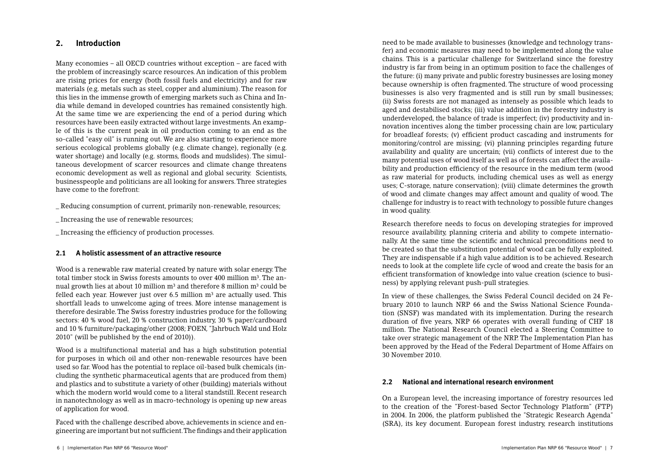# **2. Introduction**

Many economies – all OECD countries without exception – are faced with the problem of increasingly scarce resources. An indication of this problem are rising prices for energy (both fossil fuels and electricity) and for raw materials (e.g. metals such as steel, copper and aluminium). The reason for this lies in the immense growth of emerging markets such as China and India while demand in developed countries has remained consistently high. At the same time we are experiencing the end of a period during which resources have been easily extracted without large investments. An example of this is the current peak in oil production coming to an end as the so-called "easy oil" is running out. We are also starting to experience more serious ecological problems globally (e.g. climate change), regionally (e.g. water shortage) and locally (e.g. storms, floods and mudslides). The simultaneous development of scarcer resources and climate change threatens economic development as well as regional and global security. Scientists, businesspeople and politicians are all looking for answers. Three strategies have come to the forefront:

\_ Reducing consumption of current, primarily non-renewable, resources;

\_ Increasing the use of renewable resources;

\_ Increasing the effi ciency of production processes.

### **2.1 A holistic assessment of an attractive resource**

Wood is a renewable raw material created by nature with solar energy. The total timber stock in Swiss forests amounts to over 400 million  $m^3$ . The annual growth lies at about 10 million  $m<sup>3</sup>$  and therefore 8 million  $m<sup>3</sup>$  could be felled each year. However just over  $6.5$  million  $m<sup>3</sup>$  are actually used. This shortfall leads to unwelcome aging of trees. More intense management is therefore desirable. The Swiss forestry industries produce for the following sectors: 40 % wood fuel, 20 % construction industry, 30 % paper/cardboard and 10 % furniture/packaging/other (2008; FOEN, "Jahrbuch Wald und Holz 2010" (will be published by the end of 2010)).

Wood is a multifunctional material and has a high substitution potential for purposes in which oil and other non-renewable resources have been used so far. Wood has the potential to replace oil-based bulk chemicals (including the synthetic pharmaceutical agents that are produced from them) and plastics and to substitute a variety of other (building) materials without which the modern world would come to a literal standstill. Recent research in nanotechnology as well as in macro-technology is opening up new areas of application for wood.

Faced with the challenge described above, achievements in science and engineering are important but not sufficient. The findings and their application need to be made available to businesses (knowledge and technology transfer) and economic measures may need to be implemented along the value chains. This is a particular challenge for Switzerland since the forestry industry is far from being in an optimum position to face the challenges of the future: (i) many private and public forestry businesses are losing money because ownership is often fragmented. The structure of wood processing businesses is also very fragmented and is still run by small businesses; (ii) Swiss forests are not managed as intensely as possible which leads to aged and destabilised stocks; (iii) value addition in the forestry industry is underdeveloped, the balance of trade is imperfect; (iv) productivity and innovation incentives along the timber processing chain are low, particulary for broadleaf forests; (v) efficient product cascading and instruments for monitoring/control are missing; (vi) planning principles regarding future availability and quality are uncertain; (vii) conflicts of interest due to the many potential uses of wood itself as well as of forests can affect the availability and production efficiency of the resource in the medium term (wood as raw material for products, including chemical uses as well as energy uses; C-storage, nature conservation); (viii) climate determines the growth of wood and climate changes may affect amount and quality of wood. The challenge for industry is to react with technology to possible future changes in wood quality.

Research therefore needs to focus on developing strategies for improved resource availability, planning criteria and ability to compete internationally. At the same time the scienti fi c and technical preconditions need to be created so that the substitution potential of wood can be fully exploited. They are indispensable if a high value addition is to be achieved. Research needs to look at the complete life cycle of wood and create the basis for an efficient transformation of knowledge into value creation (science to business) by applying relevant push-pull strategies.

In view of these challenges, the Swiss Federal Council decided on 24 February 2010 to launch NRP 66 and the Swiss National Science Foundation (SNSF) was mandated with its implementation. During the research duration of five years, NRP 66 operates with overall funding of CHF 18 million. The National Research Council elected a Steering Committee to take over strategic management of the NRP. The Implementation Plan has been approved by the Head of the Federal Department of Home Affairs on 30 November 2010.

### **2.2 National and international research environment**

On a European level, the increasing importance of forestry resources led to the creation of the "Forest-based Sector Technology Platform" (FTP) in 2004. In 2006, the platform published the "Strategic Research Agenda" (SRA), its key document. European forest industry, research institutions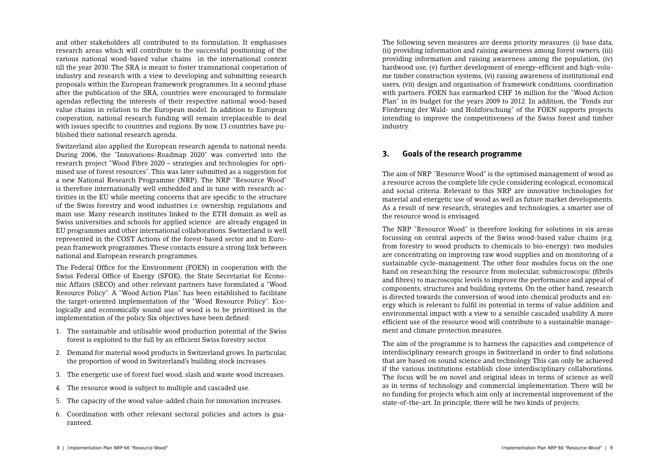and other stakeholders all contributed to its formulation. It emphasises research areas which will contribute to the successful positioning of the various national wood-based value chains in the international context till the year 2030. The SRA is meant to foster transnational cooperation of industry and research with a view to developing and submitting research proposals within the European framework programmes. In a second phase after the publication of the SRA, countries were encouraged to formulate agendas re fl ecting the interests of their respective national wood-based value chains in relation to the European model. In addition to European cooperation, national research funding will remain irreplaceable to deal with issues specific to countries and regions. By now, 13 countries have published their national research agenda.

Switzerland also applied the European research agenda to national needs. During 2006, the "Innovations-Roadmap 2020" was converted into the research project "Wood Fibre 2020 – strategies and technologies for optimised use of forest resources". This was later submitted as a suggestion for a new National Research Programme (NRP). The NRP "Resource Wood" is therefore internationally well embedded and in tune with research activities in the EU while meeting concerns that are specific to the structure of the Swiss forestry and wood industries i.e. ownership, regulations and main use. Many research institutes linked to the ETH domain as well as Swiss universities and schools for applied science are already engaged in EU programmes and other international collaborations. Switzerland is well represented in the COST Actions of the forest-based sector and in European framework programmes. These contacts ensure a strong link between national and European research programmes.

The Federal Office for the Environment (FOEN) in cooperation with the Swiss Federal Office of Energy (SFOE), the State Secretariat for Economic Affairs (SECO) and other relevant partners have formulated a "Wood Resource Policy". A "Wood Action Plan" has been established to facilitate the target-oriented implementation of the "Wood Resource Policy". Ecologically and economically sound use of wood is to be prioritised in the implementation of the policy. Six objectives have been defined:

- 1. The sustainable and utilisable wood production potential of the Swiss forest is exploited to the full by an efficient Swiss forestry sector.
- 2. Demand for material wood products in Switzerland grows. In particular, the proportion of wood in Switzerland's building stock increases.
- 3. The energetic use of forest fuel wood, slash and waste wood increases.
- 4. The resource wood is subject to multiple and cascaded use.
- 5. The capacity of the wood value-added chain for innovation increases.
- 6. Coordination with other relevant sectoral policies and actors is guaranteed.

The following seven measures are deems priority measures: (i) base data, (ii) providing information and raising awareness among forest owners, (iii) providing information and raising awareness among the population, (iv) hardwood use, (v) further development of energy-efficient and high-volume timber construction systems, (vi) raising awareness of institutional end users, (vii) design and organisation of framework conditions, coordination with partners. FOEN has earmarked CHF 16 million for the "Wood Action Plan" in its budget for the years 2009 to 2012. In addition, the "Fonds zur Förderung der Wald- und Holzforschung" of the FOEN supports projects intending to improve the competitiveness of the Swiss forest and timber industry.

# **3. Goals of the research programme**

The aim of NRP "Resource Wood" is the optimised management of wood as a resource across the complete life cycle considering ecological, economical and social criteria. Relevant to this NRP are innovative technologies for material and energetic use of wood as well as future market developments. As a result of new research, strategies and technologies, a smarter use of the resource wood is envisaged.

The NRP "Resource Wood" is therefore looking for solutions in six areas focussing on central aspects of the Swiss wood-based value chains (e.g. from forestry to wood products to chemicals to bio-energy): two modules are concentrating on improving raw wood supplies and on monitoring of a sustainable cycle-management. The other four modules focus on the one hand on researching the resource from molecular, submicroscopic (fibrils and fi bres) to macroscopic levels to improve the performance and appeal of components, structures and building systems. On the other hand, research is directed towards the conversion of wood into chemical products and energy which is relevant to fulfil its potential in terms of value addition and environmental impact with a view to a sensible cascaded usability. A more efficient use of the resource wood will contribute to a sustainable management and climate protection measures.

The aim of the programme is to harness the capacities and competence of interdisciplinary research groups in Switzerland in order to find solutions that are based on sound science and technology. This can only be achieved if the various institutions establish close interdisciplinary collaborations. The focus will be on novel and original ideas in terms of science as well as in terms of technology and commercial implementation. There will be no funding for projects which aim only at incremental improvement of the state-of-the-art. In principle, there will be two kinds of projects: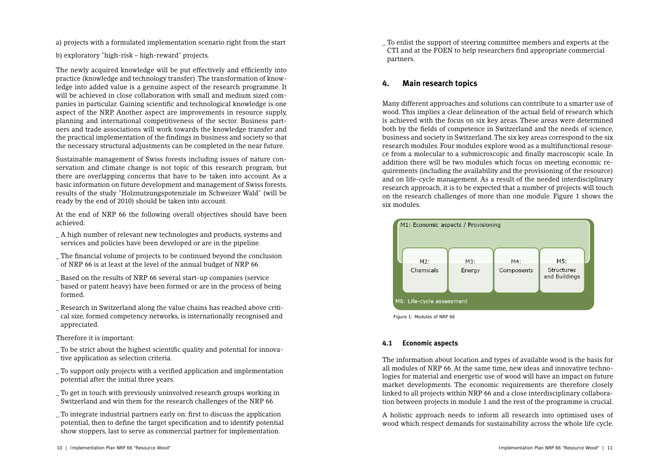a) projects with a formulated implementation scenario right from the start

b) exploratory "high-risk – high-reward" projects.

The newly acquired knowledge will be put effectively and efficiently into practice (knowledge and technology transfer). The transformation of knowledge into added value is a genuine aspect of the research programme. It will be achieved in close collaboration with small and medium sized companies in particular. Gaining scientific and technological knowledge is one aspect of the NRP. Another aspect are improvements in resource supply, planning and international competitiveness of the sector. Business partners and trade associations will work towards the knowledge transfer and the practical implementation of the findings in business and society so that the necessary structural adjustments can be completed in the near future.

Sustainable management of Swiss forests including issues of nature conservation and climate change is not topic of this research program, but there are overlapping concerns that have to be taken into account. As a basic information on future development and management of Swiss forests, results of the study "Holznutzungspotenziale im Schweizer Wald" (will be ready by the end of 2010) should be taken into account.

At the end of NRP 66 the following overall objectives should have been achieved:

- \_ A high number of relevant new technologies and products, systems and services and policies have been developed or are in the pipeline.
- \_ The fi nancial volume of projects to be continued beyond the conclusion of NRP 66 is at least at the level of the annual budget of NRP 66.
- \_ Based on the results of NRP 66 several start-up companies (service based or patent heavy) have been formed or are in the process of being formed.
- \_ Research in Switzerland along the value chains has reached above critical size, formed competency networks, is internationally recognised and appreciated.

### Therefore it is important:

- To be strict about the highest scientific quality and potential for innovative application as selection criteria.
- \_ To support only projects with a verifi ed application and implementation potential after the initial three years.
- \_ To get in touch with previously uninvolved research groups working in Switzerland and win them for the research challenges of the NRP 66.
- To integrate industrial partners early on: first to discuss the application potential, then to define the target specification and to identify potential show stoppers, last to serve as commercial partner for implementation.

\_ To enlist the support of steering committee members and experts at the CTI and at the FOEN to help researchers find appropriate commercial partners.

# **4. Main research topics**

Many different approaches and solutions can contribute to a smarter use of wood. This implies a clear delineation of the actual field of research which is achieved with the focus on six key areas. These areas were determined both by the fields of competence in Switzerland and the needs of science, business and society in Switzerland. The six key areas correspond to the six research modules. Four modules explore wood as a multifunctional resource from a molecular to a submicroscopic and finally macroscopic scale. In addition there will be two modules which focus on meeting economic requirements (including the availability and the provisioning of the resource) and on life-cycle management. As a result of the needed interdisciplinary research approach, it is to be expected that a number of projects will touch on the research challenges of more than one module. Figure 1 shows the six modules.



Figure 1: Modules of NRP 66

### **4.1 Economic aspects**

The information about location and types of available wood is the basis for all modules of NRP 66. At the same time, new ideas and innovative technologies for material and energetic use of wood will have an impact on future market developments. The economic requirements are therefore closely linked to all projects within NRP 66 and a close interdisciplinary collaboration between projects in module 1 and the rest of the programme is crucial.

A holistic approach needs to inform all research into optimised uses of wood which respect demands for sustainability across the whole life cycle.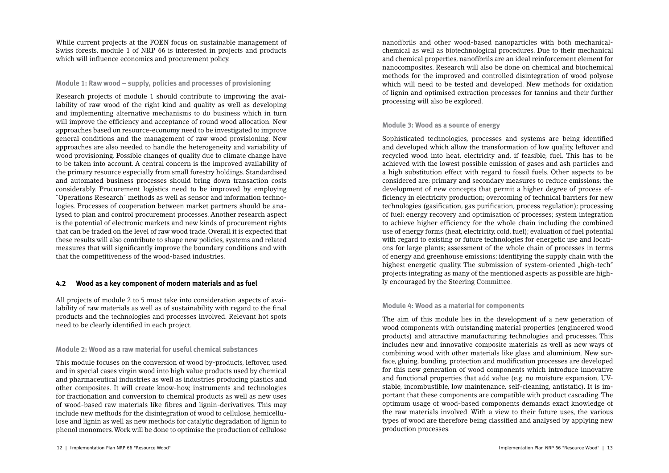While current projects at the FOEN focus on sustainable management of Swiss forests, module 1 of NRP 66 is interested in projects and products which will influence economics and procurement policy.

### **Module 1: Raw wood – supply, policies and processes of provisioning**

Research projects of module 1 should contribute to improving the availability of raw wood of the right kind and quality as well as developing and implementing alternative mechanisms to do business which in turn will improve the efficiency and acceptance of round wood allocation. New approaches based on resource-economy need to be investigated to improve general conditions and the management of raw wood provisioning. New approaches are also needed to handle the heterogeneity and variability of wood provisioning. Possible changes of quality due to climate change have to be taken into account. A central concern is the improved availability of the primary resource especially from small forestry holdings. Standardised and automated business processes should bring down transaction costs considerably. Procurement logistics need to be improved by employing "Operations Research" methods as well as sensor and information technologies. Processes of cooperation between market partners should be analysed to plan and control procurement processes. Another research aspect is the potential of electronic markets and new kinds of procurement rights that can be traded on the level of raw wood trade. Overall it is expected that these results will also contribute to shape new policies, systems and related measures that will signi fi cantly improve the boundary conditions and with that the competitiveness of the wood-based industries.

### **4.2 Wood as a key component of modern materials and as fuel**

All projects of module 2 to 5 must take into consideration aspects of availability of raw materials as well as of sustainability with regard to the final products and the technologies and processes involved. Relevant hot spots need to be clearly identified in each project.

### **Module 2: Wood as a raw material for useful chemical substances**

This module focuses on the conversion of wood by-products, leftover, used and in special cases virgin wood into high value products used by chemical and pharmaceutical industries as well as industries producing plastics and other composites. It will create know-how, instruments and technologies for fractionation and conversion to chemical products as well as new uses of wood-based raw materials like fibres and lignin-derivatives. This may include new methods for the disintegration of wood to cellulose, hemicellulose and lignin as well as new methods for catalytic degradation of lignin to phenol monomers. Work will be done to optimise the production of cellulose

nano fi brils and other wood-based nanoparticles with both mechanicalchemical as well as biotechnological procedures. Due to their mechanical and chemical properties, nanofibrils are an ideal reinforcement element for nanocomposites. Research will also be done on chemical and biochemical methods for the improved and controlled disintegration of wood polyose which will need to be tested and developed. New methods for oxidation of lignin and optimised extraction processes for tannins and their further processing will also be explored.

#### **Module 3: Wood as a source of energy**

Sophisticated technologies, processes and systems are being identified and developed which allow the transformation of low quality, leftover and recycled wood into heat, electricity and, if feasible, fuel. This has to be achieved with the lowest possible emission of gases and ash particles and a high substitution effect with regard to fossil fuels. Other aspects to be considered are: primary and secondary measures to reduce emissions; the development of new concepts that permit a higher degree of process efficiency in electricity production; overcoming of technical barriers for new technologies (gasification, gas purification, process regulation); processing of fuel; energy recovery and optimisation of processes; system integration to achieve higher efficiency for the whole chain including the combined use of energy forms (heat, electricity, cold, fuel); evaluation of fuel potential with regard to existing or future technologies for energetic use and locations for large plants; assessment of the whole chain of processes in terms of energy and greenhouse emissions; identifying the supply chain with the highest energetic quality. The submission of system-oriented "high-tech" projects integrating as many of the mentioned aspects as possible are highly encouraged by the Steering Committee.

#### **Module 4: Wood as a material for components**

The aim of this module lies in the development of a new generation of wood components with outstanding material properties (engineered wood products) and attractive manufacturing technologies and processes. This includes new and innovative composite materials as well as new ways of combining wood with other materials like glass and aluminium. New surface, gluing, bonding, protection and modification processes are developed for this new generation of wood components which introduce innovative and functional properties that add value (e.g. no moisture expansion, UVstable, incombustible, low maintenance, self-cleaning, antistatic). It is important that these components are compatible with product cascading. The optimum usage of wood-based components demands exact knowledge of the raw materials involved. With a view to their future uses, the various types of wood are therefore being classified and analysed by applying new production processes.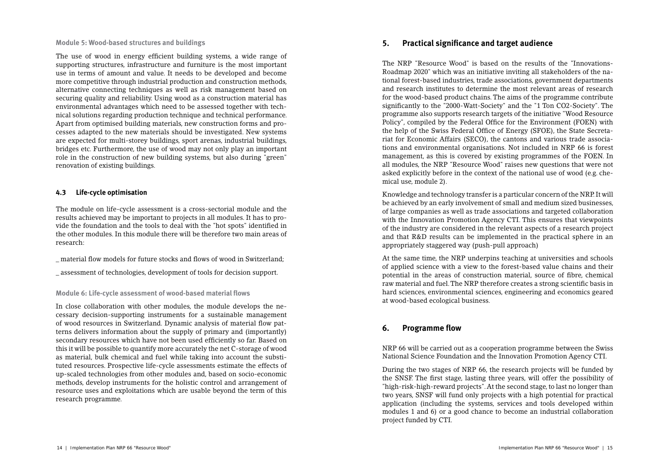**Module 5: Wood-based structures and buildings**

The use of wood in energy efficient building systems, a wide range of supporting structures, infrastructure and furniture is the most important use in terms of amount and value. It needs to be developed and become more competitive through industrial production and construction methods, alternative connecting techniques as well as risk management based on securing quality and reliability. Using wood as a construction material has environmental advantages which need to be assessed together with technical solutions regarding production technique and technical performance. Apart from optimised building materials, new construction forms and processes adapted to the new materials should be investigated. New systems are expected for multi-storey buildings, sport arenas, industrial buildings, bridges etc. Furthermore, the use of wood may not only play an important role in the construction of new building systems, but also during "green" renovation of existing buildings.

# **4.3 Life-cycle optimisation**

The module on life-cycle assessment is a cross-sectorial module and the results achieved may be important to projects in all modules. It has to provide the foundation and the tools to deal with the "hot spots" identified in the other modules. In this module there will be therefore two main areas of research:

- \_ material fl ow models for future stocks and fl ows of wood in Switzerland;
- \_ assessment of technologies, development of tools for decision support.

**Module 6: Life-cycle assessment of wood-based material flows** 

In close collaboration with other modules, the module develops the necessary decision-supporting instruments for a sustainable management of wood resources in Switzerland. Dynamic analysis of material flow patterns delivers information about the supply of primary and (importantly) secondary resources which have not been used efficiently so far. Based on this it will be possible to quantify more accurately the net C-storage of wood as material, bulk chemical and fuel while taking into account the substituted resources. Prospective life-cycle assessments estimate the effects of up-scaled technologies from other modules and, based on socio-economic methods, develop instruments for the holistic control and arrangement of resource uses and exploitations which are usable beyond the term of this research programme.

# **5.** Practical significance and target audience

The NRP "Resource Wood" is based on the results of the "Innovations-Roadmap 2020" which was an initiative inviting all stakeholders of the national forest-based industries, trade associations, government departments and research institutes to determine the most relevant areas of research for the wood-based product chains. The aims of the programme contribute signi fi cantly to the "2000-Watt-Society" and the "1 Ton CO2-Society". The programme also supports research targets of the initiative "Wood Resource Policy", compiled by the Federal Office for the Environment (FOEN) with the help of the Swiss Federal Office of Energy (SFOE), the State Secretariat for Economic Affairs (SECO), the cantons and various trade associations and environmental organisations. Not included in NRP 66 is forest management, as this is covered by existing programmes of the FOEN. In all modules, the NRP "Resource Wood" raises new questions that were not asked explicitly before in the context of the national use of wood (e.g. chemical use, module 2).

Knowledge and technology transfer is a particular concern of the NRP. It will be achieved by an early involvement of small and medium sized businesses, of large companies as well as trade associations and targeted collaboration with the Innovation Promotion Agency CTI. This ensures that viewpoints of the industry are considered in the relevant aspects of a research project and that R&D results can be implemented in the practical sphere in an appropriately staggered way (push-pull approach)

At the same time, the NRP underpins teaching at universities and schools of applied science with a view to the forest-based value chains and their potential in the areas of construction material, source of fibre, chemical raw material and fuel. The NRP therefore creates a strong scienti fi c basis in hard sciences, environmental sciences, engineering and economics geared at wood-based ecological business.

# **6.** Programme flow

NRP 66 will be carried out as a cooperation programme between the Swiss National Science Foundation and the Innovation Promotion Agency CTI.

During the two stages of NRP 66, the research projects will be funded by the SNSF. The first stage, lasting three years, will offer the possibility of "high-risk-high-reward projects". At the second stage, to last no longer than two years, SNSF will fund only projects with a high potential for practical application (including the systems, services and tools developed within modules 1 and 6) or a good chance to become an industrial collaboration project funded by CTI.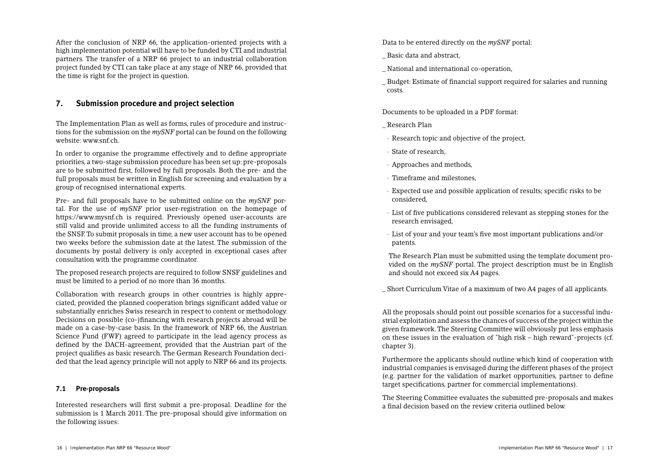After the conclusion of NRP 66, the application-oriented projects with a high implementation potential will have to be funded by CTI and industrial partners. The transfer of a NRP 66 project to an industrial collaboration project funded by CTI can take place at any stage of NRP 66, provided that the time is right for the project in question.

# **7. Submission procedure and project selection**

The Implementation Plan as well as forms, rules of procedure and instructions for the submission on the *mySNF* portal can be found on the following website: www.snf.ch.

In order to organise the programme effectively and to define appropriate priorities, a two-stage submission procedure has been set up: pre-proposals are to be submitted first, followed by full proposals. Both the pre- and the full proposals must be written in English for screening and evaluation by a group of recognised international experts.

Pre- and full proposals have to be submitted online on the *mySNF* portal. For the use of *mySNF* prior user-registration on the homepage of https://www.mysnf.ch is required. Previously opened user-accounts are still valid and provide unlimited access to all the funding instruments of the SNSF. To submit proposals in time, a new user account has to be opened two weeks before the submission date at the latest. The submission of the documents by postal delivery is only accepted in exceptional cases after consultation with the programme coordinator.

The proposed research projects are required to follow SNSF guidelines and must be limited to a period of no more than 36 months.

Collaboration with research groups in other countries is highly appreciated, provided the planned cooperation brings signi fi cant added value or substantially enriches Swiss research in respect to content or methodology. Decisions on possible (co-) fi nancing with research projects abroad will be made on a case-by-case basis. In the framework of NRP 66, the Austrian Science Fund (FWF) agreed to participate in the lead agency process as de fi ned by the DACH-agreement, provided that the Austrian part of the project quali fi es as basic research. The German Research Foundation decided that the lead agency principle will not apply to NRP 66 and its projects.

### **7.1 Pre-proposals**

Interested researchers will first submit a pre-proposal. Deadline for the submission is 1 March 2011. The pre-proposal should give information on the following issues:

Data to be entered directly on the *mySNF* portal:

- \_ Basic data and abstract,
- \_ National and international co-operation,
- \_ Budget: Estimate of fi nancial support required for salaries and running costs.

Documents to be uploaded in a PDF format:

- \_ Research Plan
- Research topic and objective of the project,
- State of research,
- Approaches and methods,
- Timeframe and milestones,
- Expected use and possible application of results; specific risks to be considered,
- List of five publications considered relevant as stepping stones for the research envisaged,
- List of your and your team's fi ve most important publications and/or patents.

The Research Plan must be submitted using the template document provided on the *mySNF* portal. The project description must be in English and should not exceed six A4 pages.

\_ Short Curriculum Vitae of a maximum of two A4 pages of all applicants.

All the proposals should point out possible scenarios for a successful industrial exploitation and assess the chances of success of the project within the given framework. The Steering Committee will obviously put less emphasis on these issues in the evaluation of "high risk – high reward"-projects (cf. chapter 3).

Furthermore the applicants should outline which kind of cooperation with industrial companies is envisaged during the different phases of the project (e.g. partner for the validation of market opportunities, partner to define target specifications, partner for commercial implementations).

The Steering Committee evaluates the submitted pre-proposals and makes a final decision based on the review criteria outlined below.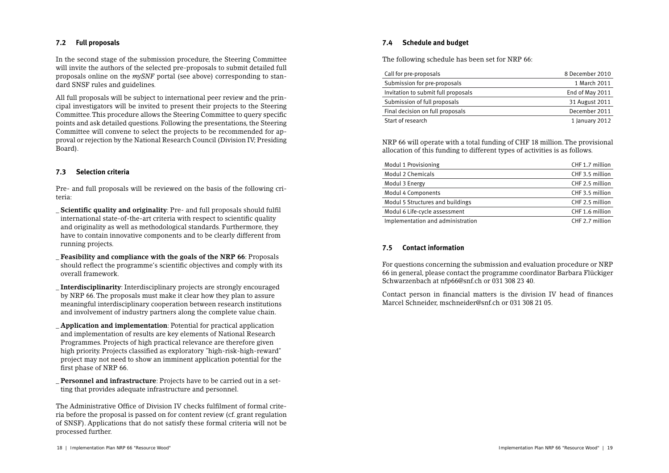# **7.2 Full proposals**

In the second stage of the submission procedure, the Steering Committee will invite the authors of the selected pre-proposals to submit detailed full proposals online on the *mySNF* portal (see above) corresponding to standard SNSF rules and guidelines.

All full proposals will be subject to international peer review and the principal investigators will be invited to present their projects to the Steering Committee. This procedure allows the Steering Committee to query specific points and ask detailed questions. Following the presentations, the Steering Committee will convene to select the projects to be recommended for approval or rejection by the National Research Council (Division IV; Presiding Board).

### **7.3 Selection criteria**

Pre- and full proposals will be reviewed on the basis of the following criteria:

**Scientific quality and originality**: Pre- and full proposals should fulfil international state-of-the-art criteria with respect to scientific quality and originality as well as methodological standards. Furthermore, they have to contain innovative components and to be clearly different from running projects.

\_ **Feasibility and compliance with the goals of the NRP 66**: Proposals should reflect the programme's scientific objectives and comply with its overall framework.

\_ **Interdisciplinarity**: Interdisciplinary projects are strongly encouraged by NRP 66. The proposals must make it clear how they plan to assure meaningful interdisciplinary cooperation between research institutions and involvement of industry partners along the complete value chain.

\_ **Application and implementation**: Potential for practical application and implementation of results are key elements of National Research Programmes. Projects of high practical relevance are therefore given high priority. Projects classified as exploratory "high-risk-high-reward" project may not need to show an imminent application potential for the first phase of NRP 66.

\_ **Personnel and infrastructure**: Projects have to be carried out in a setting that provides adequate infrastructure and personnel.

The Administrative Office of Division IV checks fulfilment of formal criteria before the proposal is passed on for content review (cf. grant regulation of SNSF). Applications that do not satisfy these formal criteria will not be processed further.

# **7.4 Schedule and budget**

The following schedule has been set for NRP 66:

| Call for pre-proposals              | 8 December 2010 |
|-------------------------------------|-----------------|
| Submission for pre-proposals        | 1 March 2011    |
| Invitation to submit full proposals | End of May 2011 |
| Submission of full proposals        | 31 August 2011  |
| Final decision on full proposals    | December 2011   |
| Start of research                   | 1 January 2012  |

NRP 66 will operate with a total funding of CHF 18 million. The provisional allocation of this funding to different types of activities is as follows.

| Modul 1 Provisioning              | CHF 1.7 million |
|-----------------------------------|-----------------|
| Modul 2 Chemicals                 | CHF 3.5 million |
| Modul 3 Energy                    | CHF 2.5 million |
| Modul 4 Components                | CHF 3.5 million |
| Modul 5 Structures and buildings  | CHF 2.5 million |
| Modul 6 Life-cycle assessment     | CHF 1.6 million |
| Implementation and administration | CHF 2.7 million |

### **7.5 Contact information**

For questions concerning the submission and evaluation procedure or NRP 66 in general, please contact the programme coordinator Barbara Flückiger Schwarzenbach at nfp66@snf.ch or 031 308 23 40.

Contact person in financial matters is the division IV head of finances Marcel Schneider, mschneider@snf.ch or 031 308 21 05.